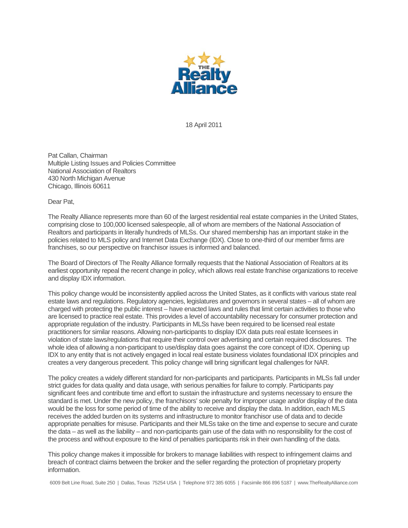

18 April 2011

Pat Callan, Chairman Multiple Listing Issues and Policies Committee National Association of Realtors 430 North Michigan Avenue Chicago, Illinois 60611

Dear Pat,

The Realty Alliance represents more than 60 of the largest residential real estate companies in the United States, comprising close to 100,000 licensed salespeople, all of whom are members of the National Association of Realtors and participants in literally hundreds of MLSs. Our shared membership has an important stake in the policies related to MLS policy and Internet Data Exchange (IDX). Close to one-third of our member firms are franchises, so our perspective on franchisor issues is informed and balanced.

The Board of Directors of The Realty Alliance formally requests that the National Association of Realtors at its earliest opportunity repeal the recent change in policy, which allows real estate franchise organizations to receive and display IDX information.

This policy change would be inconsistently applied across the United States, as it conflicts with various state real estate laws and regulations. Regulatory agencies, legislatures and governors in several states – all of whom are charged with protecting the public interest – have enacted laws and rules that limit certain activities to those who are licensed to practice real estate. This provides a level of accountability necessary for consumer protection and appropriate regulation of the industry. Participants in MLSs have been required to be licensed real estate practitioners for similar reasons. Allowing non-participants to display IDX data puts real estate licensees in violation of state laws/regulations that require their control over advertising and certain required disclosures. The whole idea of allowing a non-participant to use/display data goes against the core concept of IDX. Opening up IDX to any entity that is not actively engaged in local real estate business violates foundational IDX principles and creates a very dangerous precedent. This policy change will bring significant legal challenges for NAR.

The policy creates a widely different standard for non-participants and participants. Participants in MLSs fall under strict guides for data quality and data usage, with serious penalties for failure to comply. Participants pay significant fees and contribute time and effort to sustain the infrastructure and systems necessary to ensure the standard is met. Under the new policy, the franchisors' sole penalty for improper usage and/or display of the data would be the loss for some period of time of the ability to receive and display the data. In addition, each MLS receives the added burden on its systems and infrastructure to monitor franchisor use of data and to decide appropriate penalties for misuse. Participants and their MLSs take on the time and expense to secure and curate the data – as well as the liability – and non-participants gain use of the data with no responsibility for the cost of the process and without exposure to the kind of penalties participants risk in their own handling of the data.

This policy change makes it impossible for brokers to manage liabilities with respect to infringement claims and breach of contract claims between the broker and the seller regarding the protection of proprietary property information.

6009 Belt Line Road, Suite 250 | Dallas, Texas 75254 USA | Telephone 972 385 6055 | Facsimile 866 896 5187 | www.TheRealtyAlliance.com